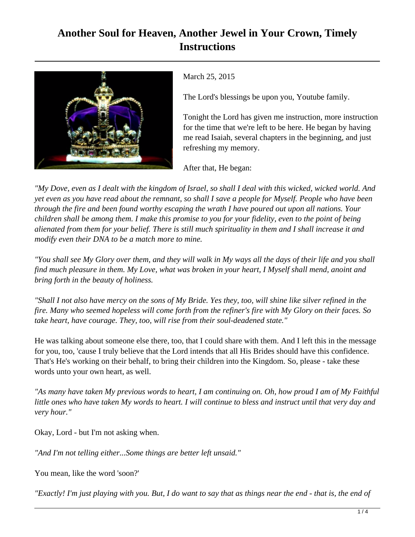## **Another Soul for Heaven, Another Jewel in Your Crown, Timely Instructions**



March 25, 2015

The Lord's blessings be upon you, Youtube family.

Tonight the Lord has given me instruction, more instruction for the time that we're left to be here. He began by having me read Isaiah, several chapters in the beginning, and just refreshing my memory.

After that, He began:

*"My Dove, even as I dealt with the kingdom of Israel, so shall I deal with this wicked, wicked world. And yet even as you have read about the remnant, so shall I save a people for Myself. People who have been through the fire and been found worthy escaping the wrath I have poured out upon all nations. Your children shall be among them. I make this promise to you for your fidelity, even to the point of being alienated from them for your belief. There is still much spirituality in them and I shall increase it and modify even their DNA to be a match more to mine.*

*"You shall see My Glory over them, and they will walk in My ways all the days of their life and you shall find much pleasure in them. My Love, what was broken in your heart, I Myself shall mend, anoint and bring forth in the beauty of holiness.*

*"Shall I not also have mercy on the sons of My Bride. Yes they, too, will shine like silver refined in the fire. Many who seemed hopeless will come forth from the refiner's fire with My Glory on their faces. So take heart, have courage. They, too, will rise from their soul-deadened state."* 

He was talking about someone else there, too, that I could share with them. And I left this in the message for you, too, 'cause I truly believe that the Lord intends that all His Brides should have this confidence. That's He's working on their behalf, to bring their children into the Kingdom. So, please - take these words unto your own heart, as well.

*"As many have taken My previous words to heart, I am continuing on. Oh, how proud I am of My Faithful little ones who have taken My words to heart. I will continue to bless and instruct until that very day and very hour."*

Okay, Lord - but I'm not asking when.

*"And I'm not telling either...Some things are better left unsaid."*

You mean, like the word 'soon?'

*"Exactly! I'm just playing with you. But, I do want to say that as things near the end - that is, the end of*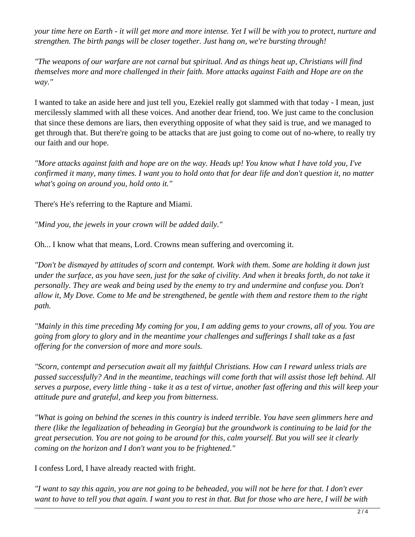*your time here on Earth - it will get more and more intense. Yet I will be with you to protect, nurture and strengthen. The birth pangs will be closer together. Just hang on, we're bursting through!*

*"The weapons of our warfare are not carnal but spiritual. And as things heat up, Christians will find themselves more and more challenged in their faith. More attacks against Faith and Hope are on the way."*

I wanted to take an aside here and just tell you, Ezekiel really got slammed with that today - I mean, just mercilessly slammed with all these voices. And another dear friend, too. We just came to the conclusion that since these demons are liars, then everything opposite of what they said is true, and we managed to get through that. But there're going to be attacks that are just going to come out of no-where, to really try our faith and our hope.

*"More attacks against faith and hope are on the way. Heads up! You know what I have told you, I've confirmed it many, many times. I want you to hold onto that for dear life and don't question it, no matter what's going on around you, hold onto it."*

There's He's referring to the Rapture and Miami.

*"Mind you, the jewels in your crown will be added daily."*

Oh... I know what that means, Lord. Crowns mean suffering and overcoming it.

*"Don't be dismayed by attitudes of scorn and contempt. Work with them. Some are holding it down just under the surface, as you have seen, just for the sake of civility. And when it breaks forth, do not take it personally. They are weak and being used by the enemy to try and undermine and confuse you. Don't allow it, My Dove. Come to Me and be strengthened, be gentle with them and restore them to the right path.*

*"Mainly in this time preceding My coming for you, I am adding gems to your crowns, all of you. You are going from glory to glory and in the meantime your challenges and sufferings I shall take as a fast offering for the conversion of more and more souls.* 

*"Scorn, contempt and persecution await all my faithful Christians. How can I reward unless trials are passed successfully? And in the meantime, teachings will come forth that will assist those left behind. All serves a purpose, every little thing - take it as a test of virtue, another fast offering and this will keep your attitude pure and grateful, and keep you from bitterness.*

*"What is going on behind the scenes in this country is indeed terrible. You have seen glimmers here and there (like the legalization of beheading in Georgia) but the groundwork is continuing to be laid for the great persecution. You are not going to be around for this, calm yourself. But you will see it clearly coming on the horizon and I don't want you to be frightened."*

I confess Lord, I have already reacted with fright.

*"I want to say this again, you are not going to be beheaded, you will not be here for that. I don't ever want to have to tell you that again. I want you to rest in that. But for those who are here, I will be with*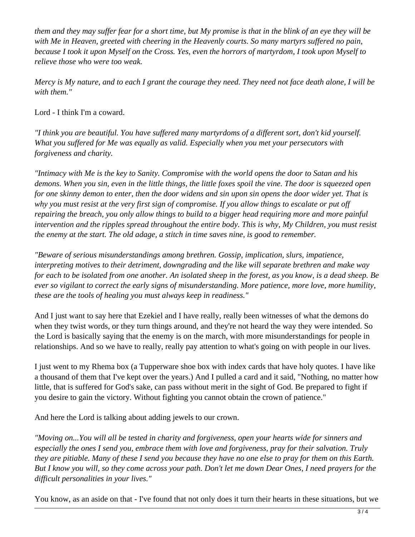*them and they may suffer fear for a short time, but My promise is that in the blink of an eye they will be with Me in Heaven, greeted with cheering in the Heavenly courts. So many martyrs suffered no pain, because I took it upon Myself on the Cross. Yes, even the horrors of martyrdom, I took upon Myself to relieve those who were too weak.*

*Mercy is My nature, and to each I grant the courage they need. They need not face death alone, I will be with them."*

Lord - I think I'm a coward.

*"I think you are beautiful. You have suffered many martyrdoms of a different sort, don't kid yourself. What you suffered for Me was equally as valid. Especially when you met your persecutors with forgiveness and charity.*

*"Intimacy with Me is the key to Sanity. Compromise with the world opens the door to Satan and his demons. When you sin, even in the little things, the little foxes spoil the vine. The door is squeezed open for one skinny demon to enter, then the door widens and sin upon sin opens the door wider yet. That is why you must resist at the very first sign of compromise. If you allow things to escalate or put off repairing the breach, you only allow things to build to a bigger head requiring more and more painful intervention and the ripples spread throughout the entire body. This is why, My Children, you must resist the enemy at the start. The old adage, a stitch in time saves nine, is good to remember.*

*"Beware of serious misunderstandings among brethren. Gossip, implication, slurs, impatience, interpreting motives to their detriment, downgrading and the like will separate brethren and make way for each to be isolated from one another. An isolated sheep in the forest, as you know, is a dead sheep. Be ever so vigilant to correct the early signs of misunderstanding. More patience, more love, more humility, these are the tools of healing you must always keep in readiness."*

And I just want to say here that Ezekiel and I have really, really been witnesses of what the demons do when they twist words, or they turn things around, and they're not heard the way they were intended. So the Lord is basically saying that the enemy is on the march, with more misunderstandings for people in relationships. And so we have to really, really pay attention to what's going on with people in our lives.

I just went to my Rhema box (a Tupperware shoe box with index cards that have holy quotes. I have like a thousand of them that I've kept over the years.) And I pulled a card and it said, "Nothing, no matter how little, that is suffered for God's sake, can pass without merit in the sight of God. Be prepared to fight if you desire to gain the victory. Without fighting you cannot obtain the crown of patience."

And here the Lord is talking about adding jewels to our crown.

*"Moving on...You will all be tested in charity and forgiveness, open your hearts wide for sinners and especially the ones I send you, embrace them with love and forgiveness, pray for their salvation. Truly they are pitiable. Many of these I send you because they have no one else to pray for them on this Earth. But I know you will, so they come across your path. Don't let me down Dear Ones, I need prayers for the difficult personalities in your lives."*

You know, as an aside on that - I've found that not only does it turn their hearts in these situations, but we